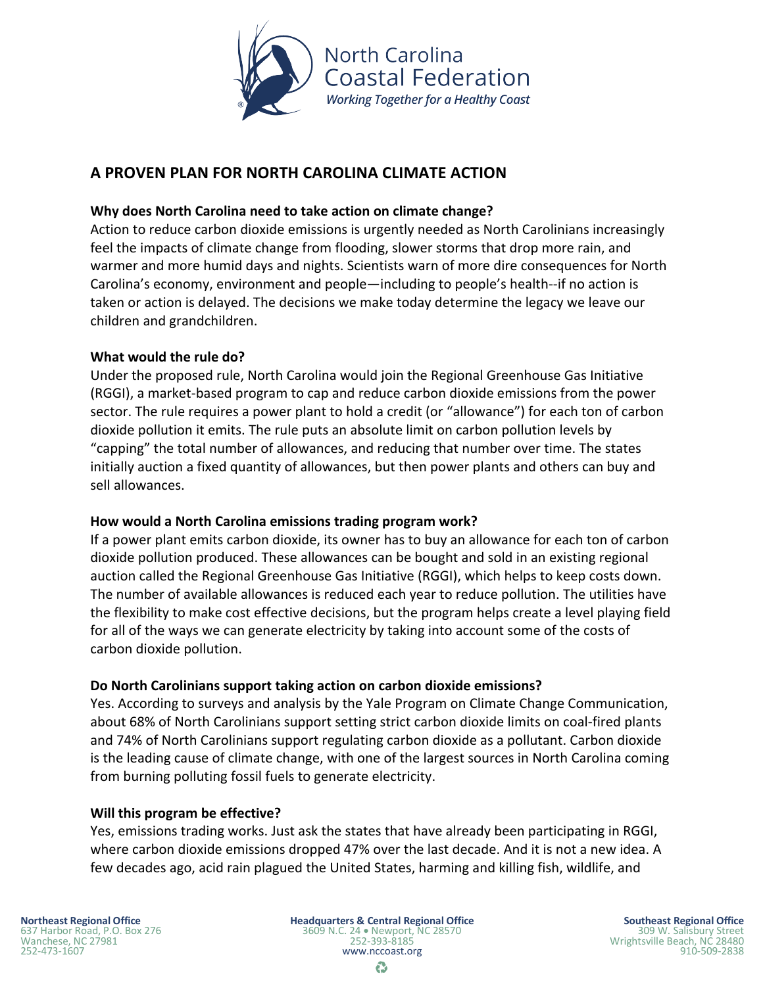

# **A PROVEN PLAN FOR NORTH CAROLINA CLIMATE ACTION**

## **Why does North Carolina need to take action on climate change?**

Action to reduce carbon dioxide emissions is urgently needed as North Carolinians increasingly feel the impacts of climate change from flooding, slower storms that drop more rain, and warmer and more humid days and nights. Scientists warn of more dire consequences for North Carolina's economy, environment and people—including to people's health--if no action is taken or action is delayed. The decisions we make today determine the legacy we leave our children and grandchildren.

### **What would the rule do?**

Under the proposed rule, North Carolina would join the Regional Greenhouse Gas Initiative (RGGI), a market-based program to cap and reduce carbon dioxide emissions from the power sector. The rule requires a power plant to hold a credit (or "allowance") for each ton of carbon dioxide pollution it emits. The rule puts an absolute limit on carbon pollution levels by "capping" the total number of allowances, and reducing that number over time. The states initially auction a fixed quantity of allowances, but then power plants and others can buy and sell allowances.

# **How would a North Carolina emissions trading program work?**

If a power plant emits carbon dioxide, its owner has to buy an allowance for each ton of carbon dioxide pollution produced. These allowances can be bought and sold in an existing regional auction called the Regional Greenhouse Gas Initiative (RGGI), which helps to keep costs down. The number of available allowances is reduced each year to reduce pollution. The utilities have the flexibility to make cost effective decisions, but the program helps create a level playing field for all of the ways we can generate electricity by taking into account some of the costs of carbon dioxide pollution.

# **Do North Carolinians support taking action on carbon dioxide emissions?**

Yes. According to surveys and analysis by the Yale Program on Climate Change Communication, about 68% of North Carolinians support setting strict carbon dioxide limits on coal-fired plants and 74% of North Carolinians support regulating carbon dioxide as a pollutant. Carbon dioxide is the leading cause of climate change, with one of the largest sources in North Carolina coming from burning polluting fossil fuels to generate electricity.

#### **Will this program be effective?**

Yes, emissions trading works. Just ask the states that have already been participating in RGGI, where carbon dioxide emissions dropped 47% over the last decade. And it is not a new idea. A few decades ago, acid rain plagued the United States, harming and killing fish, wildlife, and